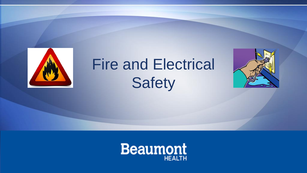

# Fire and Electrical **Safety**



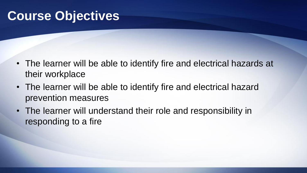## **Course Objectives**

- The learner will be able to identify fire and electrical hazards at their workplace
- The learner will be able to identify fire and electrical hazard prevention measures
- The learner will understand their role and responsibility in responding to a fire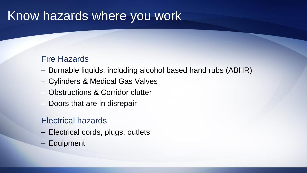#### Know hazards where you work

#### Fire Hazards

- Burnable liquids, including alcohol based hand rubs (ABHR)
- Cylinders & Medical Gas Valves
- Obstructions & Corridor clutter
- Doors that are in disrepair

#### Electrical hazards

- Electrical cords, plugs, outlets
- Equipment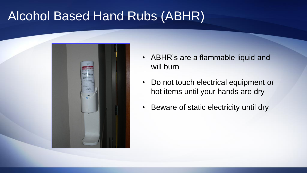# Alcohol Based Hand Rubs (ABHR)



- ABHR's are a flammable liquid and will burn
- Do not touch electrical equipment or hot items until your hands are dry
- Beware of static electricity until dry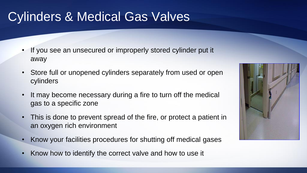# Cylinders & Medical Gas Valves

- If you see an unsecured or improperly stored cylinder put it away
- Store full or unopened cylinders separately from used or open cylinders
- It may become necessary during a fire to turn off the medical gas to a specific zone
- This is done to prevent spread of the fire, or protect a patient in an oxygen rich environment
- Know your facilities procedures for shutting off medical gases
- Know how to identify the correct valve and how to use it

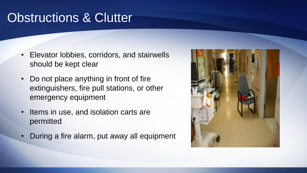## Obstructions & Clutter

- Elevator lobbies, corridors, and stairwells should be kept clear
- Do not place anything in front of fire extinguishers, fire pull stations, or other emergency equipment
- Items in use, and isolation carts are permitted
- During a fire alarm, put away all equipment

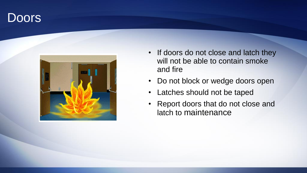#### **Doors**



- If doors do not close and latch they will not be able to contain smoke and fire
- Do not block or wedge doors open
- Latches should not be taped
- Report doors that do not close and latch to maintenance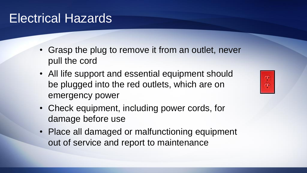## Electrical Hazards

- Grasp the plug to remove it from an outlet, never pull the cord
- All life support and essential equipment should be plugged into the red outlets, which are on emergency power
- Check equipment, including power cords, for damage before use
- Place all damaged or malfunctioning equipment out of service and report to maintenance

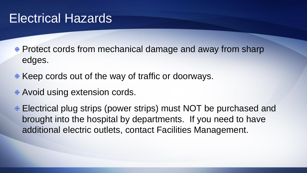#### Electrical Hazards

- **Protect cords from mechanical damage and away from sharp** edges.
- $\div$  **Keep cords out of the way of traffic or doorways.**
- Avoid using extension cords.
- Electrical plug strips (power strips) must NOT be purchased and brought into the hospital by departments. If you need to have additional electric outlets, contact Facilities Management.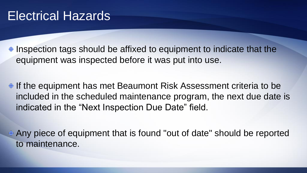$\triangle$  Inspection tags should be affixed to equipment to indicate that the equipment was inspected before it was put into use.

<sup> $\div$ </sup> If the equipment has met Beaumont Risk Assessment criteria to be included in the scheduled maintenance program, the next due date is indicated in the "Next Inspection Due Date" field.

Any piece of equipment that is found "out of date" should be reported to maintenance.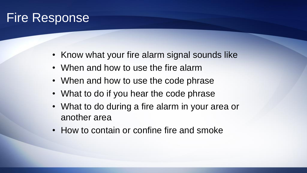# Fire Response

- Know what your fire alarm signal sounds like
- When and how to use the fire alarm
- When and how to use the code phrase
- What to do if you hear the code phrase
- What to do during a fire alarm in your area or another area
- How to contain or confine fire and smoke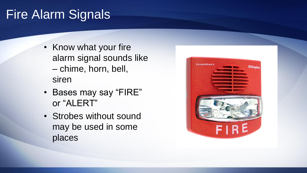## Fire Alarm Signals

- Know what your fire alarm signal sounds like – chime, horn, bell, siren
- Bases may say "FIRE" or "ALERT"
- Strobes without sound may be used in some places

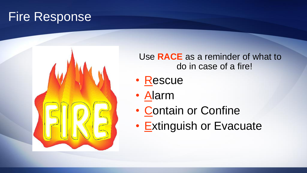## Fire Response



Use **RACE** as a reminder of what to do in case of a fire!

- Rescue
- Alarm
- Contain or Confine
- Extinguish or Evacuate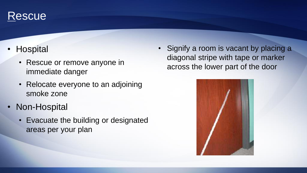#### Rescue

- Hospital
	- Rescue or remove anyone in immediate danger
	- Relocate everyone to an adjoining smoke zone
- Non-Hospital
	- Evacuate the building or designated areas per your plan

Signify a room is vacant by placing a diagonal stripe with tape or marker across the lower part of the door

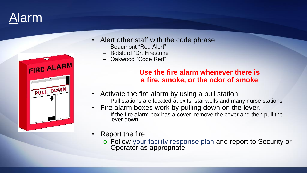



- Alert other staff with the code phrase
	- Beaumont "Red Alert"
	- Botsford "Dr. Firestone"
	- Oakwood "Code Red"

#### **Use the fire alarm whenever there is a fire, smoke, or the odor of smoke**

- Activate the fire alarm by using a pull station
	- Pull stations are located at exits, stairwells and many nurse stations
- Fire alarm boxes work by pulling down on the lever.
	- If the fire alarm box has a cover, remove the cover and then pull the lever down
- Report the fire
	- o Follow your facility response plan and report to Security or Operator as appropriate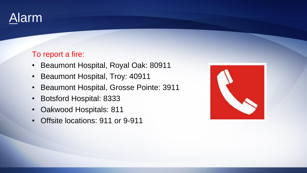

#### To report a fire:

- Beaumont Hospital, Royal Oak: 80911
- Beaumont Hospital, Troy: 40911
- Beaumont Hospital, Grosse Pointe: 3911
- Botsford Hospital: 8333
- Oakwood Hospitals: 811
- Offsite locations: 911 or 9-911

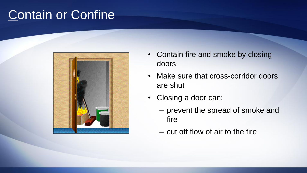## Contain or Confine



- Contain fire and smoke by closing doors
- Make sure that cross-corridor doors are shut
- Closing a door can:
	- prevent the spread of smoke and fire
	- cut off flow of air to the fire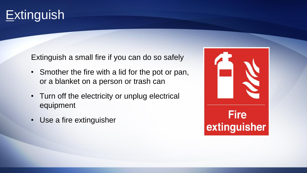# **Extinguish**

Extinguish a small fire if you can do so safely

- Smother the fire with a lid for the pot or pan, or a blanket on a person or trash can
- Turn off the electricity or unplug electrical equipment
- Use a fire extinguisher

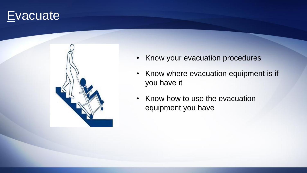#### **Evacuate**



- Know your evacuation procedures
- Know where evacuation equipment is if you have it
- Know how to use the evacuation equipment you have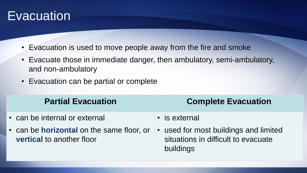#### **Evacuation**

- Evacuation is used to move people away from the fire and smoke
- Evacuate those in immediate danger, then ambulatory, semi-ambulatory, and non-ambulatory
- Evacuation can be partial or complete

|                                                                                                                                                                                                                                     | <b>Partial Evacuation</b> |
|-------------------------------------------------------------------------------------------------------------------------------------------------------------------------------------------------------------------------------------|---------------------------|
| • can be internal or external<br>• is external<br>• used for most buildings and limited<br>• can be <b>horizontal</b> on the same floor, or<br>situations in difficult to evacuate<br><b>vertical to another floor</b><br>buildings |                           |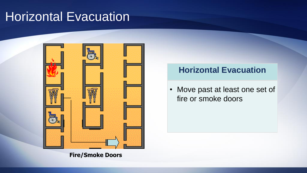#### Horizontal Evacuation



**Fire/Smoke Doors**

#### **Horizontal Evacuation**

• Move past at least one set of fire or smoke doors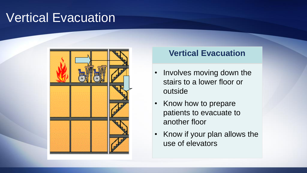## Vertical Evacuation



#### **Vertical Evacuation**

- Involves moving down the stairs to a lower floor or outside
- Know how to prepare patients to evacuate to another floor
- Know if your plan allows the use of elevators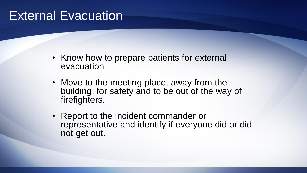#### **External Evacuation**

- Know how to prepare patients for external evacuation
- Move to the meeting place, away from the building, for safety and to be out of the way of firefighters.
- Report to the incident commander or representative and identify if everyone did or did not get out.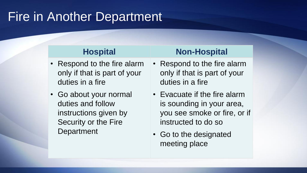## Fire in Another Department

- Respond to the fire alarm only if that is part of your duties in a fire
- Go about your normal duties and follow instructions given by Security or the Fire **Department**

#### **Hospital Non-Hospital**

- Respond to the fire alarm only if that is part of your duties in a fire
- Evacuate if the fire alarm is sounding in your area, you see smoke or fire, or if instructed to do so
- Go to the designated meeting place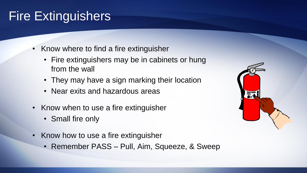## Fire Extinguishers

- Know where to find a fire extinguisher
	- Fire extinguishers may be in cabinets or hung from the wall
	- They may have a sign marking their location
	- Near exits and hazardous areas
- Know when to use a fire extinguisher
	- Small fire only
- Know how to use a fire extinguisher
	- Remember PASS Pull, Aim, Squeeze, & Sweep

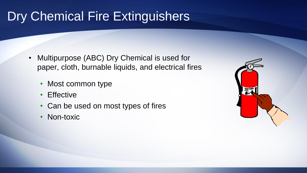# Dry Chemical Fire Extinguishers

- Multipurpose (ABC) Dry Chemical is used for paper, cloth, burnable liquids, and electrical fires
	- Most common type
	- **Effective**
	- Can be used on most types of fires
	- Non-toxic

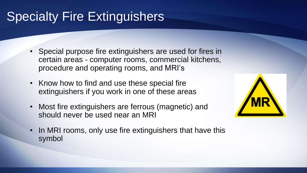# Specialty Fire Extinguishers

- Special purpose fire extinguishers are used for fires in certain areas - computer rooms, commercial kitchens, procedure and operating rooms, and MRI's
- Know how to find and use these special fire extinguishers if you work in one of these areas
- Most fire extinguishers are ferrous (magnetic) and should never be used near an MRI



• In MRI rooms, only use fire extinguishers that have this symbol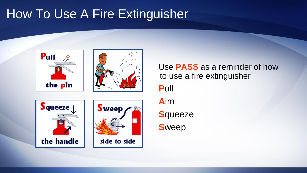# How To Use A Fire Extinguisher



Use **PASS** as a reminder of how to use a fire extinguisher **P**ull **A**im **S**queeze **S**weep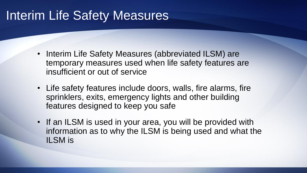## Interim Life Safety Measures

- Interim Life Safety Measures (abbreviated ILSM) are temporary measures used when life safety features are insufficient or out of service
- Life safety features include doors, walls, fire alarms, fire sprinklers, exits, emergency lights and other building features designed to keep you safe
- If an ILSM is used in your area, you will be provided with information as to why the ILSM is being used and what the ILSM is